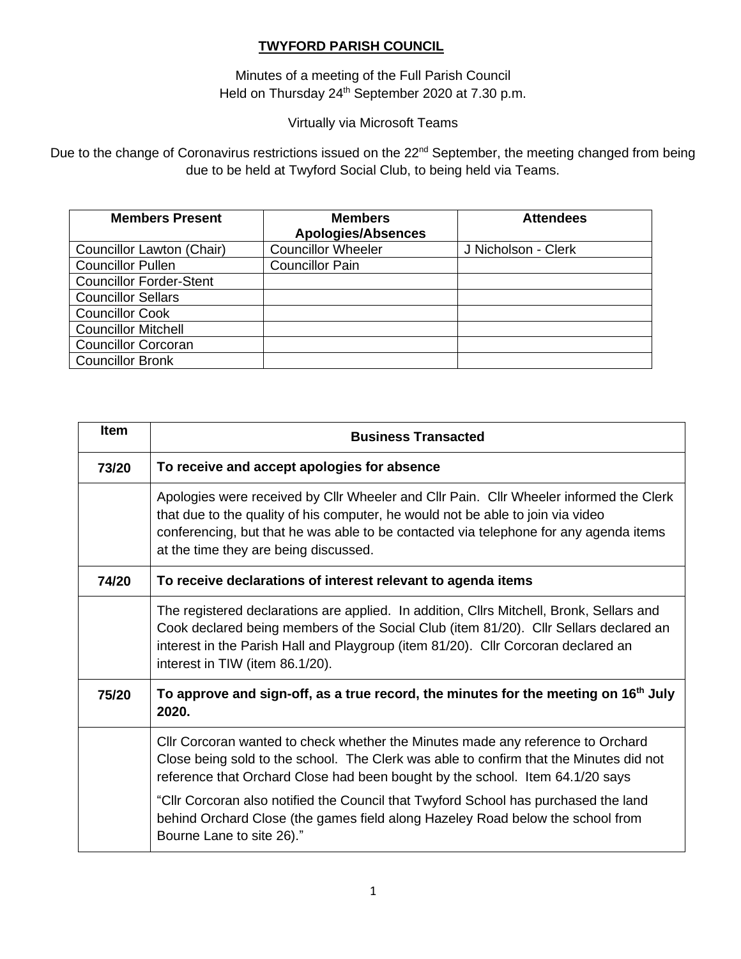# **TWYFORD PARISH COUNCIL**

Minutes of a meeting of the Full Parish Council Held on Thursday 24<sup>th</sup> September 2020 at 7.30 p.m.

# Virtually via Microsoft Teams

Due to the change of Coronavirus restrictions issued on the 22<sup>nd</sup> September, the meeting changed from being due to be held at Twyford Social Club, to being held via Teams.

| <b>Members Present</b>         | <b>Members</b><br><b>Apologies/Absences</b> | <b>Attendees</b>    |
|--------------------------------|---------------------------------------------|---------------------|
| Councillor Lawton (Chair)      | <b>Councillor Wheeler</b>                   | J Nicholson - Clerk |
| <b>Councillor Pullen</b>       | <b>Councillor Pain</b>                      |                     |
| <b>Councillor Forder-Stent</b> |                                             |                     |
| <b>Councillor Sellars</b>      |                                             |                     |
| <b>Councillor Cook</b>         |                                             |                     |
| <b>Councillor Mitchell</b>     |                                             |                     |
| <b>Councillor Corcoran</b>     |                                             |                     |
| <b>Councillor Bronk</b>        |                                             |                     |

| <b>Item</b> | <b>Business Transacted</b>                                                                                                                                                                                                                                                                                  |
|-------------|-------------------------------------------------------------------------------------------------------------------------------------------------------------------------------------------------------------------------------------------------------------------------------------------------------------|
| 73/20       | To receive and accept apologies for absence                                                                                                                                                                                                                                                                 |
|             | Apologies were received by Cllr Wheeler and Cllr Pain. Cllr Wheeler informed the Clerk<br>that due to the quality of his computer, he would not be able to join via video<br>conferencing, but that he was able to be contacted via telephone for any agenda items<br>at the time they are being discussed. |
| 74/20       | To receive declarations of interest relevant to agenda items                                                                                                                                                                                                                                                |
|             | The registered declarations are applied. In addition, Cllrs Mitchell, Bronk, Sellars and<br>Cook declared being members of the Social Club (item 81/20). Cllr Sellars declared an<br>interest in the Parish Hall and Playgroup (item 81/20). Cllr Corcoran declared an<br>interest in TIW (item 86.1/20).   |
| 75/20       | To approve and sign-off, as a true record, the minutes for the meeting on $16th$ July<br>2020.                                                                                                                                                                                                              |
|             | CIIr Corcoran wanted to check whether the Minutes made any reference to Orchard<br>Close being sold to the school. The Clerk was able to confirm that the Minutes did not<br>reference that Orchard Close had been bought by the school. Item 64.1/20 says                                                  |
|             | "Cllr Corcoran also notified the Council that Twyford School has purchased the land<br>behind Orchard Close (the games field along Hazeley Road below the school from<br>Bourne Lane to site 26)."                                                                                                          |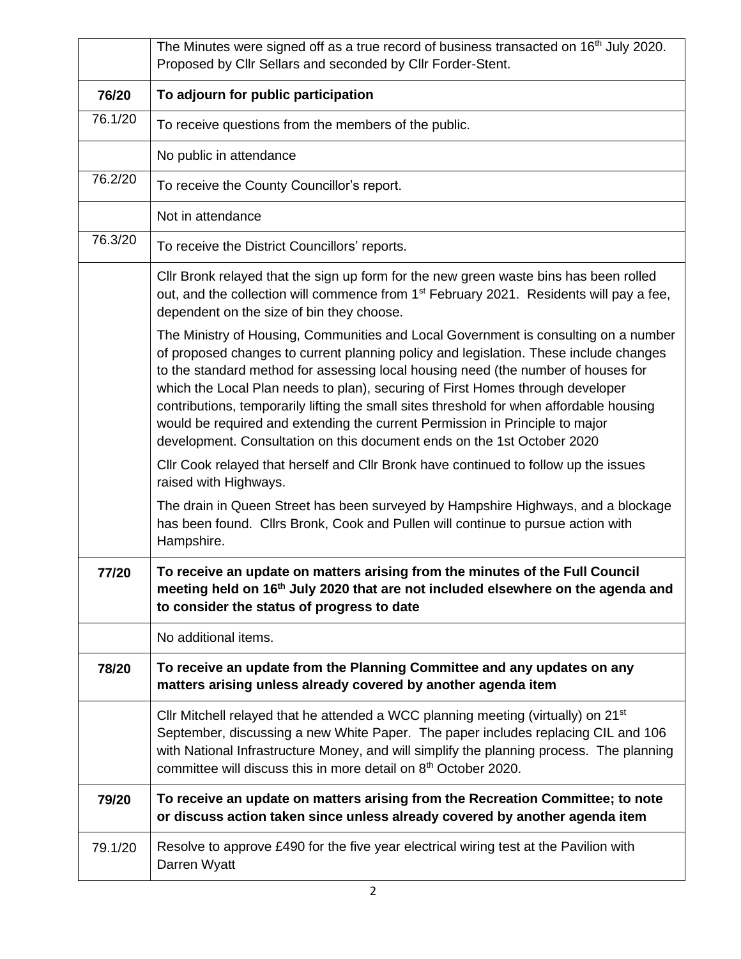|         | The Minutes were signed off as a true record of business transacted on 16 <sup>th</sup> July 2020.<br>Proposed by Cllr Sellars and seconded by Cllr Forder-Stent.                                                                                                                                                                                                                                                                                                                                                                                                                                          |
|---------|------------------------------------------------------------------------------------------------------------------------------------------------------------------------------------------------------------------------------------------------------------------------------------------------------------------------------------------------------------------------------------------------------------------------------------------------------------------------------------------------------------------------------------------------------------------------------------------------------------|
| 76/20   | To adjourn for public participation                                                                                                                                                                                                                                                                                                                                                                                                                                                                                                                                                                        |
| 76.1/20 | To receive questions from the members of the public.                                                                                                                                                                                                                                                                                                                                                                                                                                                                                                                                                       |
|         | No public in attendance                                                                                                                                                                                                                                                                                                                                                                                                                                                                                                                                                                                    |
| 76.2/20 | To receive the County Councillor's report.                                                                                                                                                                                                                                                                                                                                                                                                                                                                                                                                                                 |
|         | Not in attendance                                                                                                                                                                                                                                                                                                                                                                                                                                                                                                                                                                                          |
| 76.3/20 | To receive the District Councillors' reports.                                                                                                                                                                                                                                                                                                                                                                                                                                                                                                                                                              |
|         | Cllr Bronk relayed that the sign up form for the new green waste bins has been rolled<br>out, and the collection will commence from 1 <sup>st</sup> February 2021. Residents will pay a fee,<br>dependent on the size of bin they choose.                                                                                                                                                                                                                                                                                                                                                                  |
|         | The Ministry of Housing, Communities and Local Government is consulting on a number<br>of proposed changes to current planning policy and legislation. These include changes<br>to the standard method for assessing local housing need (the number of houses for<br>which the Local Plan needs to plan), securing of First Homes through developer<br>contributions, temporarily lifting the small sites threshold for when affordable housing<br>would be required and extending the current Permission in Principle to major<br>development. Consultation on this document ends on the 1st October 2020 |
|         | CIIr Cook relayed that herself and CIIr Bronk have continued to follow up the issues<br>raised with Highways.                                                                                                                                                                                                                                                                                                                                                                                                                                                                                              |
|         | The drain in Queen Street has been surveyed by Hampshire Highways, and a blockage<br>has been found. Clirs Bronk, Cook and Pullen will continue to pursue action with<br>Hampshire.                                                                                                                                                                                                                                                                                                                                                                                                                        |
| 77/20   | To receive an update on matters arising from the minutes of the Full Council<br>meeting held on 16 <sup>th</sup> July 2020 that are not included elsewhere on the agenda and<br>to consider the status of progress to date                                                                                                                                                                                                                                                                                                                                                                                 |
|         | No additional items.                                                                                                                                                                                                                                                                                                                                                                                                                                                                                                                                                                                       |
| 78/20   | To receive an update from the Planning Committee and any updates on any<br>matters arising unless already covered by another agenda item                                                                                                                                                                                                                                                                                                                                                                                                                                                                   |
|         | Cllr Mitchell relayed that he attended a WCC planning meeting (virtually) on 21 <sup>st</sup><br>September, discussing a new White Paper. The paper includes replacing CIL and 106<br>with National Infrastructure Money, and will simplify the planning process. The planning<br>committee will discuss this in more detail on 8 <sup>th</sup> October 2020.                                                                                                                                                                                                                                              |
| 79/20   | To receive an update on matters arising from the Recreation Committee; to note<br>or discuss action taken since unless already covered by another agenda item                                                                                                                                                                                                                                                                                                                                                                                                                                              |
| 79.1/20 | Resolve to approve £490 for the five year electrical wiring test at the Pavilion with<br>Darren Wyatt                                                                                                                                                                                                                                                                                                                                                                                                                                                                                                      |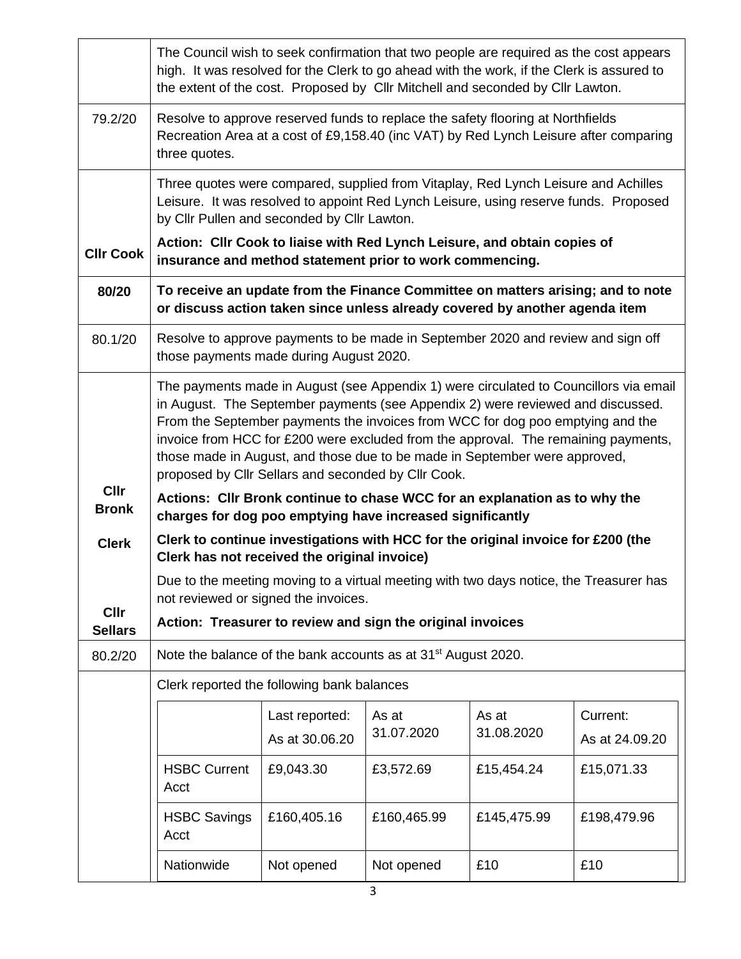|                               | The Council wish to seek confirmation that two people are required as the cost appears<br>high. It was resolved for the Clerk to go ahead with the work, if the Clerk is assured to<br>the extent of the cost. Proposed by Cllr Mitchell and seconded by Cllr Lawton.                                                                                                                                                                                                                 |                                  |                          |                     |                            |  |  |  |  |
|-------------------------------|---------------------------------------------------------------------------------------------------------------------------------------------------------------------------------------------------------------------------------------------------------------------------------------------------------------------------------------------------------------------------------------------------------------------------------------------------------------------------------------|----------------------------------|--------------------------|---------------------|----------------------------|--|--|--|--|
| 79.2/20                       | Resolve to approve reserved funds to replace the safety flooring at Northfields<br>Recreation Area at a cost of £9,158.40 (inc VAT) by Red Lynch Leisure after comparing<br>three quotes.                                                                                                                                                                                                                                                                                             |                                  |                          |                     |                            |  |  |  |  |
|                               | Three quotes were compared, supplied from Vitaplay, Red Lynch Leisure and Achilles<br>Leisure. It was resolved to appoint Red Lynch Leisure, using reserve funds. Proposed<br>by Cllr Pullen and seconded by Cllr Lawton.                                                                                                                                                                                                                                                             |                                  |                          |                     |                            |  |  |  |  |
| <b>CIIr Cook</b>              | Action: Cllr Cook to liaise with Red Lynch Leisure, and obtain copies of<br>insurance and method statement prior to work commencing.                                                                                                                                                                                                                                                                                                                                                  |                                  |                          |                     |                            |  |  |  |  |
| 80/20                         | To receive an update from the Finance Committee on matters arising; and to note<br>or discuss action taken since unless already covered by another agenda item                                                                                                                                                                                                                                                                                                                        |                                  |                          |                     |                            |  |  |  |  |
| 80.1/20                       | Resolve to approve payments to be made in September 2020 and review and sign off<br>those payments made during August 2020.                                                                                                                                                                                                                                                                                                                                                           |                                  |                          |                     |                            |  |  |  |  |
|                               | The payments made in August (see Appendix 1) were circulated to Councillors via email<br>in August. The September payments (see Appendix 2) were reviewed and discussed.<br>From the September payments the invoices from WCC for dog poo emptying and the<br>invoice from HCC for £200 were excluded from the approval. The remaining payments,<br>those made in August, and those due to be made in September were approved,<br>proposed by Cllr Sellars and seconded by Cllr Cook. |                                  |                          |                     |                            |  |  |  |  |
| <b>Cllr</b><br><b>Bronk</b>   | Actions: Cllr Bronk continue to chase WCC for an explanation as to why the<br>charges for dog poo emptying have increased significantly                                                                                                                                                                                                                                                                                                                                               |                                  |                          |                     |                            |  |  |  |  |
| <b>Clerk</b>                  | Clerk to continue investigations with HCC for the original invoice for £200 (the<br>Clerk has not received the original invoice)                                                                                                                                                                                                                                                                                                                                                      |                                  |                          |                     |                            |  |  |  |  |
|                               | Due to the meeting moving to a virtual meeting with two days notice, the Treasurer has<br>not reviewed or signed the invoices.                                                                                                                                                                                                                                                                                                                                                        |                                  |                          |                     |                            |  |  |  |  |
| <b>CIIr</b><br><b>Sellars</b> | Action: Treasurer to review and sign the original invoices                                                                                                                                                                                                                                                                                                                                                                                                                            |                                  |                          |                     |                            |  |  |  |  |
| 80.2/20                       | Note the balance of the bank accounts as at 31 <sup>st</sup> August 2020.                                                                                                                                                                                                                                                                                                                                                                                                             |                                  |                          |                     |                            |  |  |  |  |
|                               | Clerk reported the following bank balances                                                                                                                                                                                                                                                                                                                                                                                                                                            |                                  |                          |                     |                            |  |  |  |  |
|                               |                                                                                                                                                                                                                                                                                                                                                                                                                                                                                       | Last reported:<br>As at 30.06.20 | As at<br>31.07.2020      | As at<br>31.08.2020 | Current:<br>As at 24.09.20 |  |  |  |  |
|                               | <b>HSBC Current</b><br>Acct                                                                                                                                                                                                                                                                                                                                                                                                                                                           | £9,043.30                        | £3,572.69                | £15,454.24          | £15,071.33                 |  |  |  |  |
|                               | <b>HSBC Savings</b><br>£160,405.16<br>£160,465.99<br>Acct                                                                                                                                                                                                                                                                                                                                                                                                                             |                                  |                          | £145,475.99         | £198,479.96                |  |  |  |  |
|                               | Nationwide<br>Not opened                                                                                                                                                                                                                                                                                                                                                                                                                                                              |                                  | £10<br>£10<br>Not opened |                     |                            |  |  |  |  |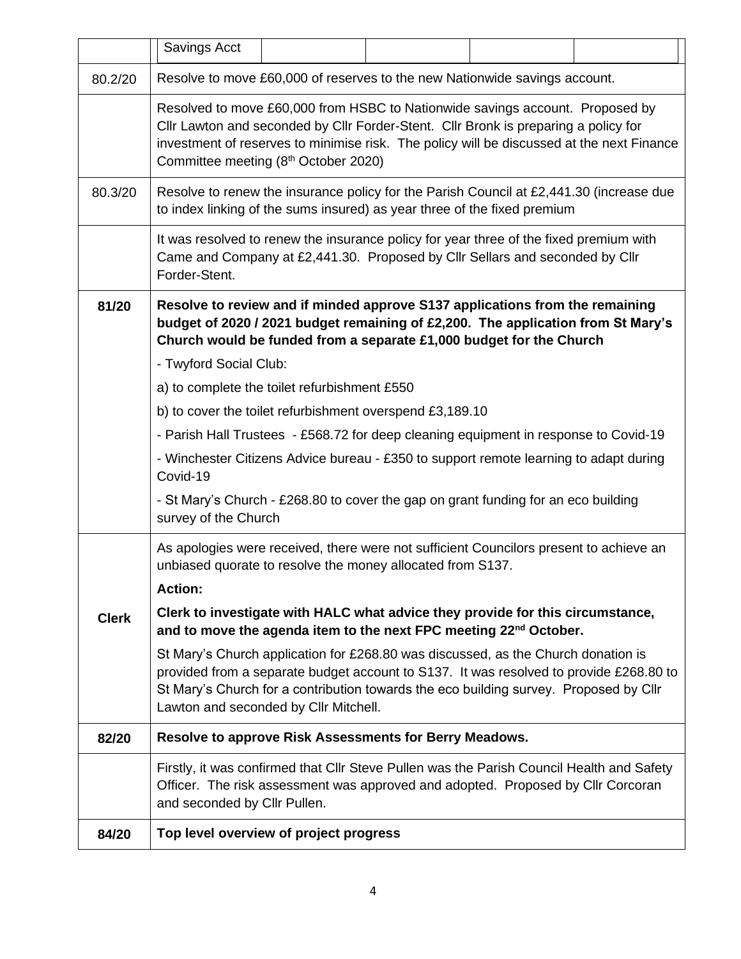|              | Savings Acct                                                                                                                                                                                                                                                                                                  |  |  |  |  |  |  |  |  |
|--------------|---------------------------------------------------------------------------------------------------------------------------------------------------------------------------------------------------------------------------------------------------------------------------------------------------------------|--|--|--|--|--|--|--|--|
| 80.2/20      | Resolve to move £60,000 of reserves to the new Nationwide savings account.                                                                                                                                                                                                                                    |  |  |  |  |  |  |  |  |
|              | Resolved to move £60,000 from HSBC to Nationwide savings account. Proposed by<br>Cllr Lawton and seconded by Cllr Forder-Stent. Cllr Bronk is preparing a policy for<br>investment of reserves to minimise risk. The policy will be discussed at the next Finance<br>Committee meeting (8th October 2020)     |  |  |  |  |  |  |  |  |
| 80.3/20      | Resolve to renew the insurance policy for the Parish Council at £2,441.30 (increase due<br>to index linking of the sums insured) as year three of the fixed premium                                                                                                                                           |  |  |  |  |  |  |  |  |
|              | It was resolved to renew the insurance policy for year three of the fixed premium with<br>Came and Company at £2,441.30. Proposed by Cllr Sellars and seconded by Cllr<br>Forder-Stent.                                                                                                                       |  |  |  |  |  |  |  |  |
| 81/20        | Resolve to review and if minded approve S137 applications from the remaining<br>budget of 2020 / 2021 budget remaining of £2,200. The application from St Mary's<br>Church would be funded from a separate £1,000 budget for the Church                                                                       |  |  |  |  |  |  |  |  |
|              | - Twyford Social Club:                                                                                                                                                                                                                                                                                        |  |  |  |  |  |  |  |  |
|              | a) to complete the toilet refurbishment £550                                                                                                                                                                                                                                                                  |  |  |  |  |  |  |  |  |
|              | b) to cover the toilet refurbishment overspend £3,189.10                                                                                                                                                                                                                                                      |  |  |  |  |  |  |  |  |
|              | - Parish Hall Trustees - £568.72 for deep cleaning equipment in response to Covid-19                                                                                                                                                                                                                          |  |  |  |  |  |  |  |  |
|              | - Winchester Citizens Advice bureau - £350 to support remote learning to adapt during<br>Covid-19                                                                                                                                                                                                             |  |  |  |  |  |  |  |  |
|              | - St Mary's Church - £268.80 to cover the gap on grant funding for an eco building<br>survey of the Church                                                                                                                                                                                                    |  |  |  |  |  |  |  |  |
|              | As apologies were received, there were not sufficient Councilors present to achieve an<br>unbiased quorate to resolve the money allocated from S137.                                                                                                                                                          |  |  |  |  |  |  |  |  |
|              | <b>Action:</b>                                                                                                                                                                                                                                                                                                |  |  |  |  |  |  |  |  |
| <b>Clerk</b> | Clerk to investigate with HALC what advice they provide for this circumstance,<br>and to move the agenda item to the next FPC meeting 22 <sup>nd</sup> October.                                                                                                                                               |  |  |  |  |  |  |  |  |
|              | St Mary's Church application for £268.80 was discussed, as the Church donation is<br>provided from a separate budget account to S137. It was resolved to provide £268.80 to<br>St Mary's Church for a contribution towards the eco building survey. Proposed by Cllr<br>Lawton and seconded by Cllr Mitchell. |  |  |  |  |  |  |  |  |
| 82/20        | Resolve to approve Risk Assessments for Berry Meadows.                                                                                                                                                                                                                                                        |  |  |  |  |  |  |  |  |
|              | Firstly, it was confirmed that Cllr Steve Pullen was the Parish Council Health and Safety<br>Officer. The risk assessment was approved and adopted. Proposed by Cllr Corcoran<br>and seconded by Cllr Pullen.                                                                                                 |  |  |  |  |  |  |  |  |
| 84/20        | Top level overview of project progress                                                                                                                                                                                                                                                                        |  |  |  |  |  |  |  |  |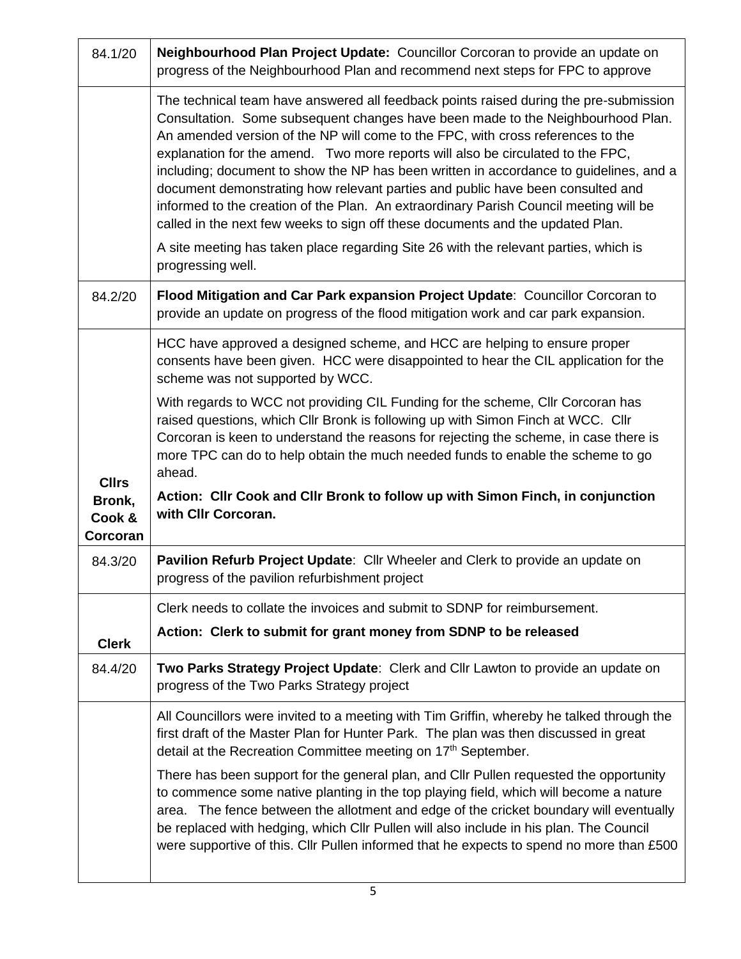| 84.1/20                      | Neighbourhood Plan Project Update: Councillor Corcoran to provide an update on<br>progress of the Neighbourhood Plan and recommend next steps for FPC to approve                                                                                                                                                                                                                                                                                                                                                                                                                                                                                                                                      |
|------------------------------|-------------------------------------------------------------------------------------------------------------------------------------------------------------------------------------------------------------------------------------------------------------------------------------------------------------------------------------------------------------------------------------------------------------------------------------------------------------------------------------------------------------------------------------------------------------------------------------------------------------------------------------------------------------------------------------------------------|
|                              | The technical team have answered all feedback points raised during the pre-submission<br>Consultation. Some subsequent changes have been made to the Neighbourhood Plan.<br>An amended version of the NP will come to the FPC, with cross references to the<br>explanation for the amend. Two more reports will also be circulated to the FPC,<br>including; document to show the NP has been written in accordance to guidelines, and a<br>document demonstrating how relevant parties and public have been consulted and<br>informed to the creation of the Plan. An extraordinary Parish Council meeting will be<br>called in the next few weeks to sign off these documents and the updated Plan. |
|                              | A site meeting has taken place regarding Site 26 with the relevant parties, which is<br>progressing well.                                                                                                                                                                                                                                                                                                                                                                                                                                                                                                                                                                                             |
| 84.2/20                      | Flood Mitigation and Car Park expansion Project Update: Councillor Corcoran to<br>provide an update on progress of the flood mitigation work and car park expansion.                                                                                                                                                                                                                                                                                                                                                                                                                                                                                                                                  |
|                              | HCC have approved a designed scheme, and HCC are helping to ensure proper<br>consents have been given. HCC were disappointed to hear the CIL application for the<br>scheme was not supported by WCC.                                                                                                                                                                                                                                                                                                                                                                                                                                                                                                  |
| <b>Cllrs</b>                 | With regards to WCC not providing CIL Funding for the scheme, CIIr Corcoran has<br>raised questions, which Cllr Bronk is following up with Simon Finch at WCC. Cllr<br>Corcoran is keen to understand the reasons for rejecting the scheme, in case there is<br>more TPC can do to help obtain the much needed funds to enable the scheme to go<br>ahead.                                                                                                                                                                                                                                                                                                                                             |
| Bronk,<br>Cook &<br>Corcoran | Action: Cllr Cook and Cllr Bronk to follow up with Simon Finch, in conjunction<br>with Cllr Corcoran.                                                                                                                                                                                                                                                                                                                                                                                                                                                                                                                                                                                                 |
| 84.3/20                      | Pavilion Refurb Project Update: Cllr Wheeler and Clerk to provide an update on<br>progress of the pavilion refurbishment project                                                                                                                                                                                                                                                                                                                                                                                                                                                                                                                                                                      |
|                              | Clerk needs to collate the invoices and submit to SDNP for reimbursement.                                                                                                                                                                                                                                                                                                                                                                                                                                                                                                                                                                                                                             |
| <b>Clerk</b>                 | Action: Clerk to submit for grant money from SDNP to be released                                                                                                                                                                                                                                                                                                                                                                                                                                                                                                                                                                                                                                      |
| 84.4/20                      | Two Parks Strategy Project Update: Clerk and Cllr Lawton to provide an update on<br>progress of the Two Parks Strategy project                                                                                                                                                                                                                                                                                                                                                                                                                                                                                                                                                                        |
|                              | All Councillors were invited to a meeting with Tim Griffin, whereby he talked through the<br>first draft of the Master Plan for Hunter Park. The plan was then discussed in great<br>detail at the Recreation Committee meeting on 17 <sup>th</sup> September.                                                                                                                                                                                                                                                                                                                                                                                                                                        |
|                              | There has been support for the general plan, and Cllr Pullen requested the opportunity<br>to commence some native planting in the top playing field, which will become a nature<br>area. The fence between the allotment and edge of the cricket boundary will eventually<br>be replaced with hedging, which Cllr Pullen will also include in his plan. The Council<br>were supportive of this. Cllr Pullen informed that he expects to spend no more than £500                                                                                                                                                                                                                                       |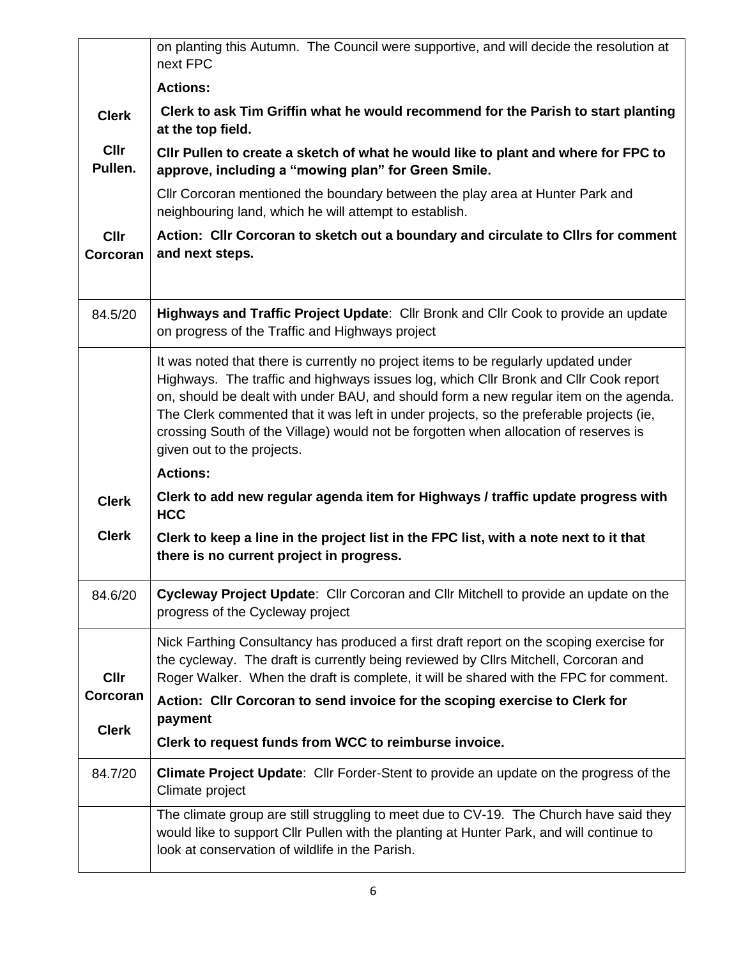|                         | on planting this Autumn. The Council were supportive, and will decide the resolution at<br>next FPC                                                                                                                                                                                                                                                                                                                                                                                   |
|-------------------------|---------------------------------------------------------------------------------------------------------------------------------------------------------------------------------------------------------------------------------------------------------------------------------------------------------------------------------------------------------------------------------------------------------------------------------------------------------------------------------------|
|                         | <b>Actions:</b>                                                                                                                                                                                                                                                                                                                                                                                                                                                                       |
| <b>Clerk</b>            | Clerk to ask Tim Griffin what he would recommend for the Parish to start planting<br>at the top field.                                                                                                                                                                                                                                                                                                                                                                                |
| <b>Cllr</b><br>Pullen.  | CIIr Pullen to create a sketch of what he would like to plant and where for FPC to<br>approve, including a "mowing plan" for Green Smile.                                                                                                                                                                                                                                                                                                                                             |
|                         | CIIr Corcoran mentioned the boundary between the play area at Hunter Park and<br>neighbouring land, which he will attempt to establish.                                                                                                                                                                                                                                                                                                                                               |
| <b>Cllr</b><br>Corcoran | Action: Cllr Corcoran to sketch out a boundary and circulate to Cllrs for comment<br>and next steps.                                                                                                                                                                                                                                                                                                                                                                                  |
|                         |                                                                                                                                                                                                                                                                                                                                                                                                                                                                                       |
| 84.5/20                 | Highways and Traffic Project Update: Cllr Bronk and Cllr Cook to provide an update<br>on progress of the Traffic and Highways project                                                                                                                                                                                                                                                                                                                                                 |
|                         | It was noted that there is currently no project items to be regularly updated under<br>Highways. The traffic and highways issues log, which Cllr Bronk and Cllr Cook report<br>on, should be dealt with under BAU, and should form a new regular item on the agenda.<br>The Clerk commented that it was left in under projects, so the preferable projects (ie,<br>crossing South of the Village) would not be forgotten when allocation of reserves is<br>given out to the projects. |
|                         | <b>Actions:</b>                                                                                                                                                                                                                                                                                                                                                                                                                                                                       |
| <b>Clerk</b>            | Clerk to add new regular agenda item for Highways / traffic update progress with<br><b>HCC</b>                                                                                                                                                                                                                                                                                                                                                                                        |
| <b>Clerk</b>            | Clerk to keep a line in the project list in the FPC list, with a note next to it that<br>there is no current project in progress.                                                                                                                                                                                                                                                                                                                                                     |
| 84.6/20                 | Cycleway Project Update: Cllr Corcoran and Cllr Mitchell to provide an update on the<br>progress of the Cycleway project                                                                                                                                                                                                                                                                                                                                                              |
| <b>Cllr</b>             | Nick Farthing Consultancy has produced a first draft report on the scoping exercise for<br>the cycleway. The draft is currently being reviewed by Cllrs Mitchell, Corcoran and<br>Roger Walker. When the draft is complete, it will be shared with the FPC for comment.                                                                                                                                                                                                               |
| Corcoran                | Action: Cllr Corcoran to send invoice for the scoping exercise to Clerk for<br>payment                                                                                                                                                                                                                                                                                                                                                                                                |
| <b>Clerk</b>            | Clerk to request funds from WCC to reimburse invoice.                                                                                                                                                                                                                                                                                                                                                                                                                                 |
| 84.7/20                 | <b>Climate Project Update:</b> Cllr Forder-Stent to provide an update on the progress of the<br>Climate project                                                                                                                                                                                                                                                                                                                                                                       |
|                         | The climate group are still struggling to meet due to CV-19. The Church have said they<br>would like to support Cllr Pullen with the planting at Hunter Park, and will continue to<br>look at conservation of wildlife in the Parish.                                                                                                                                                                                                                                                 |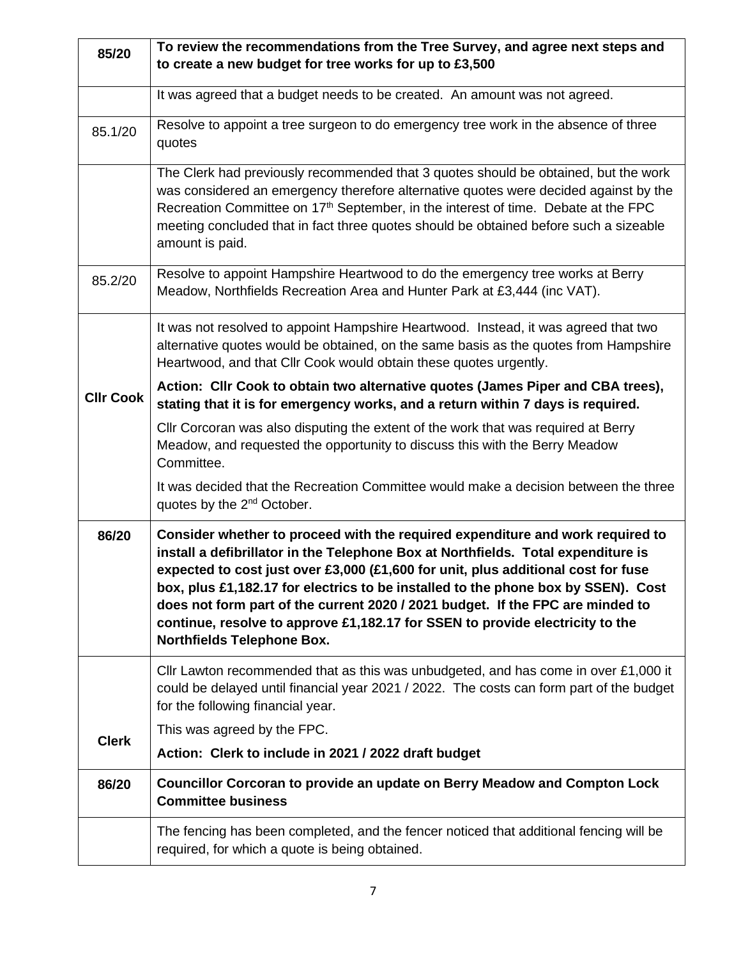| 85/20            | To review the recommendations from the Tree Survey, and agree next steps and<br>to create a new budget for tree works for up to £3,500                                                                                                                                                                                                                                                                                                                                                                                                                |  |  |  |  |  |  |
|------------------|-------------------------------------------------------------------------------------------------------------------------------------------------------------------------------------------------------------------------------------------------------------------------------------------------------------------------------------------------------------------------------------------------------------------------------------------------------------------------------------------------------------------------------------------------------|--|--|--|--|--|--|
|                  | It was agreed that a budget needs to be created. An amount was not agreed.                                                                                                                                                                                                                                                                                                                                                                                                                                                                            |  |  |  |  |  |  |
| 85.1/20          | Resolve to appoint a tree surgeon to do emergency tree work in the absence of three<br>quotes                                                                                                                                                                                                                                                                                                                                                                                                                                                         |  |  |  |  |  |  |
|                  | The Clerk had previously recommended that 3 quotes should be obtained, but the work<br>was considered an emergency therefore alternative quotes were decided against by the<br>Recreation Committee on 17 <sup>th</sup> September, in the interest of time. Debate at the FPC<br>meeting concluded that in fact three quotes should be obtained before such a sizeable<br>amount is paid.                                                                                                                                                             |  |  |  |  |  |  |
| 85.2/20          | Resolve to appoint Hampshire Heartwood to do the emergency tree works at Berry<br>Meadow, Northfields Recreation Area and Hunter Park at £3,444 (inc VAT).                                                                                                                                                                                                                                                                                                                                                                                            |  |  |  |  |  |  |
|                  | It was not resolved to appoint Hampshire Heartwood. Instead, it was agreed that two<br>alternative quotes would be obtained, on the same basis as the quotes from Hampshire<br>Heartwood, and that Cllr Cook would obtain these quotes urgently.                                                                                                                                                                                                                                                                                                      |  |  |  |  |  |  |
| <b>CIIr Cook</b> | Action: Cllr Cook to obtain two alternative quotes (James Piper and CBA trees),<br>stating that it is for emergency works, and a return within 7 days is required.                                                                                                                                                                                                                                                                                                                                                                                    |  |  |  |  |  |  |
|                  | CIIr Corcoran was also disputing the extent of the work that was required at Berry<br>Meadow, and requested the opportunity to discuss this with the Berry Meadow<br>Committee.                                                                                                                                                                                                                                                                                                                                                                       |  |  |  |  |  |  |
|                  | It was decided that the Recreation Committee would make a decision between the three<br>quotes by the 2 <sup>nd</sup> October.                                                                                                                                                                                                                                                                                                                                                                                                                        |  |  |  |  |  |  |
| 86/20            | Consider whether to proceed with the required expenditure and work required to<br>install a defibrillator in the Telephone Box at Northfields. Total expenditure is<br>expected to cost just over £3,000 (£1,600 for unit, plus additional cost for fuse<br>box, plus £1,182.17 for electrics to be installed to the phone box by SSEN). Cost<br>does not form part of the current 2020 / 2021 budget. If the FPC are minded to<br>continue, resolve to approve £1,182.17 for SSEN to provide electricity to the<br><b>Northfields Telephone Box.</b> |  |  |  |  |  |  |
|                  | Cllr Lawton recommended that as this was unbudgeted, and has come in over $£1,000$ it<br>could be delayed until financial year 2021 / 2022. The costs can form part of the budget<br>for the following financial year.                                                                                                                                                                                                                                                                                                                                |  |  |  |  |  |  |
| <b>Clerk</b>     | This was agreed by the FPC.                                                                                                                                                                                                                                                                                                                                                                                                                                                                                                                           |  |  |  |  |  |  |
|                  | Action: Clerk to include in 2021 / 2022 draft budget                                                                                                                                                                                                                                                                                                                                                                                                                                                                                                  |  |  |  |  |  |  |
| 86/20            | Councillor Corcoran to provide an update on Berry Meadow and Compton Lock<br><b>Committee business</b>                                                                                                                                                                                                                                                                                                                                                                                                                                                |  |  |  |  |  |  |
|                  | The fencing has been completed, and the fencer noticed that additional fencing will be<br>required, for which a quote is being obtained.                                                                                                                                                                                                                                                                                                                                                                                                              |  |  |  |  |  |  |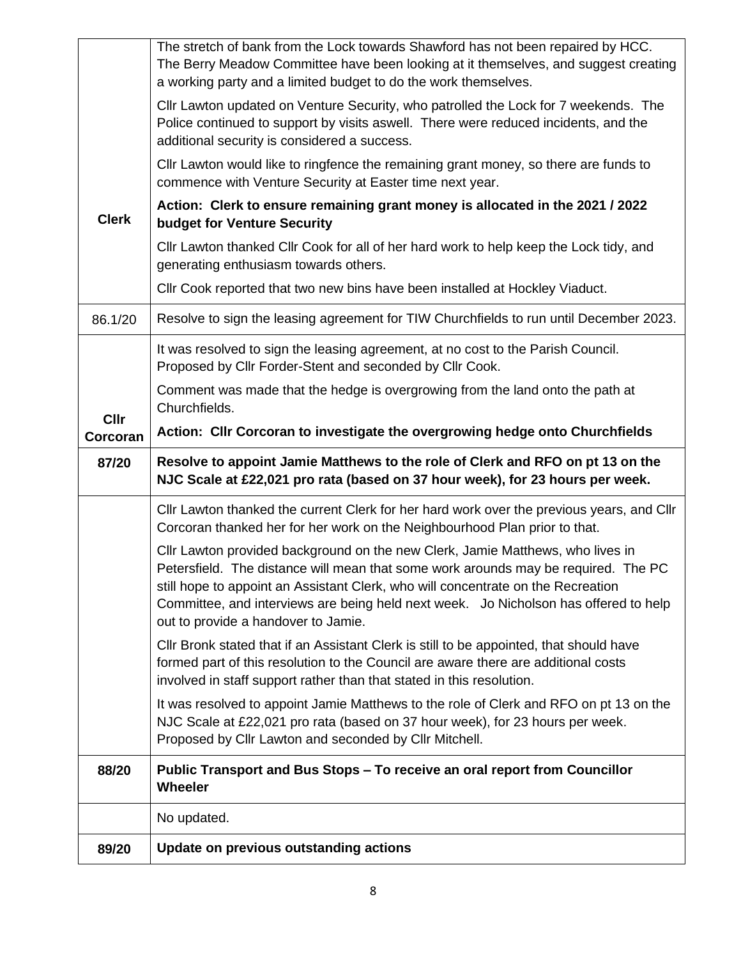|              | The stretch of bank from the Lock towards Shawford has not been repaired by HCC.<br>The Berry Meadow Committee have been looking at it themselves, and suggest creating<br>a working party and a limited budget to do the work themselves.                                                                                                                                              |
|--------------|-----------------------------------------------------------------------------------------------------------------------------------------------------------------------------------------------------------------------------------------------------------------------------------------------------------------------------------------------------------------------------------------|
|              | CIIr Lawton updated on Venture Security, who patrolled the Lock for 7 weekends. The<br>Police continued to support by visits aswell. There were reduced incidents, and the<br>additional security is considered a success.                                                                                                                                                              |
|              | CIIr Lawton would like to ringfence the remaining grant money, so there are funds to<br>commence with Venture Security at Easter time next year.                                                                                                                                                                                                                                        |
| <b>Clerk</b> | Action: Clerk to ensure remaining grant money is allocated in the 2021 / 2022<br>budget for Venture Security                                                                                                                                                                                                                                                                            |
|              | CIIr Lawton thanked CIIr Cook for all of her hard work to help keep the Lock tidy, and<br>generating enthusiasm towards others.                                                                                                                                                                                                                                                         |
|              | Cllr Cook reported that two new bins have been installed at Hockley Viaduct.                                                                                                                                                                                                                                                                                                            |
| 86.1/20      | Resolve to sign the leasing agreement for TIW Churchfields to run until December 2023.                                                                                                                                                                                                                                                                                                  |
|              | It was resolved to sign the leasing agreement, at no cost to the Parish Council.<br>Proposed by Cllr Forder-Stent and seconded by Cllr Cook.                                                                                                                                                                                                                                            |
| <b>Cllr</b>  | Comment was made that the hedge is overgrowing from the land onto the path at<br>Churchfields.                                                                                                                                                                                                                                                                                          |
| Corcoran     | Action: Cllr Corcoran to investigate the overgrowing hedge onto Churchfields                                                                                                                                                                                                                                                                                                            |
|              |                                                                                                                                                                                                                                                                                                                                                                                         |
| 87/20        | Resolve to appoint Jamie Matthews to the role of Clerk and RFO on pt 13 on the<br>NJC Scale at £22,021 pro rata (based on 37 hour week), for 23 hours per week.                                                                                                                                                                                                                         |
|              | Cllr Lawton thanked the current Clerk for her hard work over the previous years, and Cllr<br>Corcoran thanked her for her work on the Neighbourhood Plan prior to that.                                                                                                                                                                                                                 |
|              | Cllr Lawton provided background on the new Clerk, Jamie Matthews, who lives in<br>Petersfield. The distance will mean that some work arounds may be required. The PC<br>still hope to appoint an Assistant Clerk, who will concentrate on the Recreation<br>Committee, and interviews are being held next week. Jo Nicholson has offered to help<br>out to provide a handover to Jamie. |
|              | CIIr Bronk stated that if an Assistant Clerk is still to be appointed, that should have<br>formed part of this resolution to the Council are aware there are additional costs<br>involved in staff support rather than that stated in this resolution.                                                                                                                                  |
|              | It was resolved to appoint Jamie Matthews to the role of Clerk and RFO on pt 13 on the<br>NJC Scale at £22,021 pro rata (based on 37 hour week), for 23 hours per week.<br>Proposed by Cllr Lawton and seconded by Cllr Mitchell.                                                                                                                                                       |
| 88/20        | Public Transport and Bus Stops - To receive an oral report from Councillor<br><b>Wheeler</b>                                                                                                                                                                                                                                                                                            |
|              | No updated.                                                                                                                                                                                                                                                                                                                                                                             |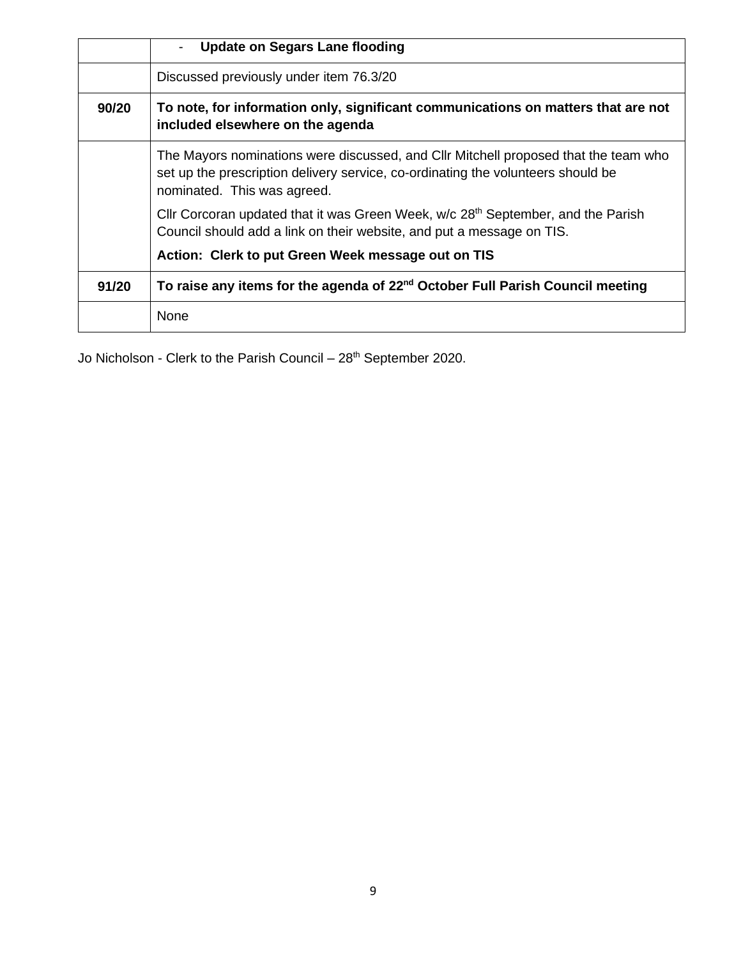|       | <b>Update on Segars Lane flooding</b><br>$\blacksquare$                                                                                                                                                |
|-------|--------------------------------------------------------------------------------------------------------------------------------------------------------------------------------------------------------|
|       | Discussed previously under item 76.3/20                                                                                                                                                                |
| 90/20 | To note, for information only, significant communications on matters that are not<br>included elsewhere on the agenda                                                                                  |
|       | The Mayors nominations were discussed, and CIIr Mitchell proposed that the team who<br>set up the prescription delivery service, co-ordinating the volunteers should be<br>nominated. This was agreed. |
|       | Cllr Corcoran updated that it was Green Week, w/c 28 <sup>th</sup> September, and the Parish<br>Council should add a link on their website, and put a message on TIS.                                  |
|       | Action: Clerk to put Green Week message out on TIS                                                                                                                                                     |
| 91/20 | To raise any items for the agenda of 22 <sup>nd</sup> October Full Parish Council meeting                                                                                                              |
|       | None                                                                                                                                                                                                   |

Jo Nicholson - Clerk to the Parish Council – 28<sup>th</sup> September 2020.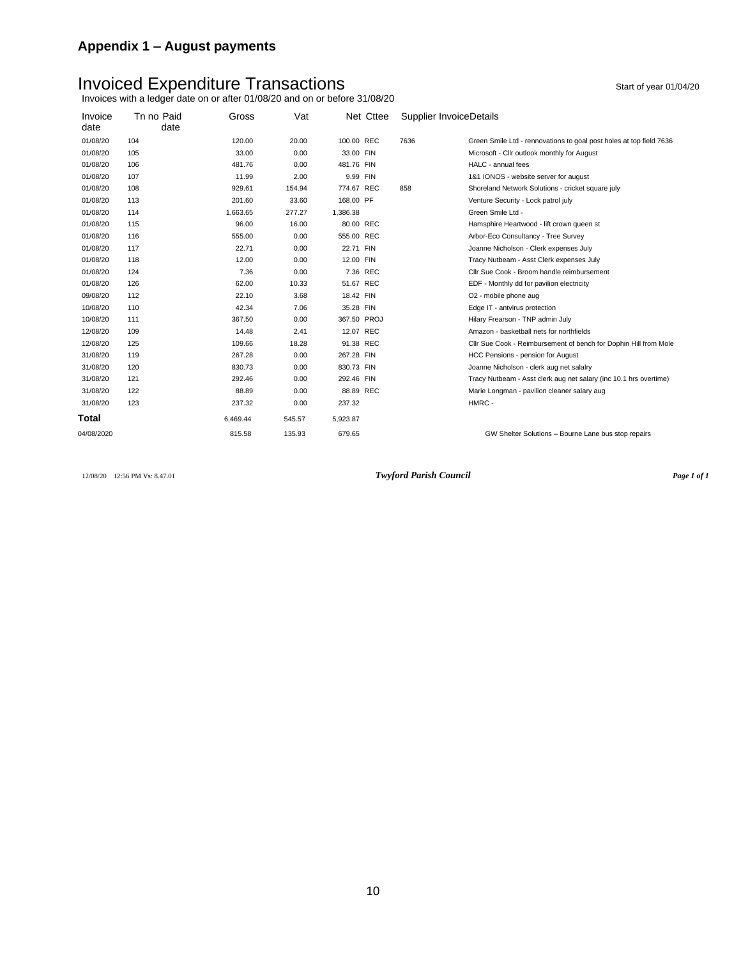# Invoiced Expenditure Transactions and the start of year 01/04/20

Invoices with a ledger date on or after 01/08/20 and on or before 31/08/20

| Invoice<br>date | Tn no Paid<br>date | Gross    | Vat    | Net Cttee   | Supplier InvoiceDetails |                                                                     |
|-----------------|--------------------|----------|--------|-------------|-------------------------|---------------------------------------------------------------------|
| 01/08/20        | 104                | 120.00   | 20.00  | 100.00 REC  | 7636                    | Green Smile Ltd - rennovations to goal post holes at top field 7636 |
| 01/08/20        | 105                | 33.00    | 0.00   | 33.00 FIN   |                         | Microsoft - Cllr outlook monthly for August                         |
| 01/08/20        | 106                | 481.76   | 0.00   | 481.76 FIN  |                         | HALC - annual fees                                                  |
| 01/08/20        | 107                | 11.99    | 2.00   | 9.99 FIN    |                         | 1&1 IONOS - website server for august                               |
| 01/08/20        | 108                | 929.61   | 154.94 | 774.67 REC  | 858                     | Shoreland Network Solutions - cricket square july                   |
| 01/08/20        | 113                | 201.60   | 33.60  | 168.00 PF   |                         | Venture Security - Lock patrol july                                 |
| 01/08/20        | 114                | 1,663.65 | 277.27 | 1,386.38    |                         | Green Smile Ltd -                                                   |
| 01/08/20        | 115                | 96.00    | 16.00  | 80.00 REC   |                         | Hamsphire Heartwood - lift crown queen st                           |
| 01/08/20        | 116                | 555.00   | 0.00   | 555.00 REC  |                         | Arbor-Eco Consultancy - Tree Survey                                 |
| 01/08/20        | 117                | 22.71    | 0.00   | 22.71 FIN   |                         | Joanne Nicholson - Clerk expenses July                              |
| 01/08/20        | 118                | 12.00    | 0.00   | 12.00 FIN   |                         | Tracy Nutbeam - Asst Clerk expenses July                            |
| 01/08/20        | 124                | 7.36     | 0.00   | 7.36 REC    |                         | Cllr Sue Cook - Broom handle reimbursement                          |
| 01/08/20        | 126                | 62.00    | 10.33  | 51.67 REC   |                         | EDF - Monthly dd for pavilion electricity                           |
| 09/08/20        | 112                | 22.10    | 3.68   | 18.42 FIN   |                         | O2 - mobile phone aug                                               |
| 10/08/20        | 110                | 42.34    | 7.06   | 35.28 FIN   |                         | Edge IT - antvirus protection                                       |
| 10/08/20        | 111                | 367.50   | 0.00   | 367.50 PROJ |                         | Hilary Frearson - TNP admin July                                    |
| 12/08/20        | 109                | 14.48    | 2.41   | 12.07 REC   |                         | Amazon - basketball nets for northfields                            |
| 12/08/20        | 125                | 109.66   | 18.28  | 91.38 REC   |                         | Cllr Sue Cook - Reimbursement of bench for Dophin Hill from Mole    |
| 31/08/20        | 119                | 267.28   | 0.00   | 267.28 FIN  |                         | HCC Pensions - pension for August                                   |
| 31/08/20        | 120                | 830.73   | 0.00   | 830.73 FIN  |                         | Joanne Nicholson - clerk aug net salalry                            |
| 31/08/20        | 121                | 292.46   | 0.00   | 292.46 FIN  |                         | Tracy Nutbeam - Asst clerk aug net salary (inc 10.1 hrs overtime)   |
| 31/08/20        | 122                | 88.89    | 0.00   | 88.89 REC   |                         | Marie Longman - pavilion cleaner salary aug                         |
| 31/08/20        | 123                | 237.32   | 0.00   | 237.32      |                         | HMRC -                                                              |
| Total           |                    | 6,469.44 | 545.57 | 5,923.87    |                         |                                                                     |
| 04/08/2020      |                    | 815.58   | 135.93 | 679.65      |                         | GW Shelter Solutions - Bourne Lane bus stop repairs                 |

12/08/20 12:56 PM Vs: 8.47.01 *Twyford Parish Council Page 1 of 1*